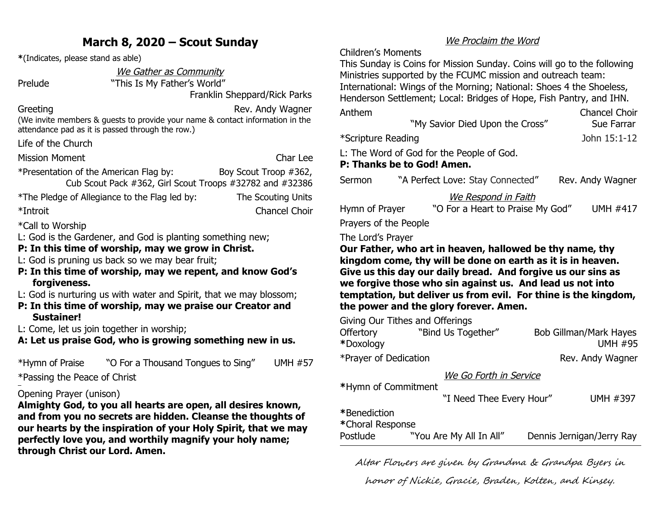# **March 8, 2020 – Scout Sunday**

**\***(Indicates, please stand as able)

We Gather as Community

Prelude "This Is My Father's World"

Franklin Sheppard/Rick Parks

Greeting **Greeting Rev.** Andy Wagner (We invite members & guests to provide your name & contact information in the attendance pad as it is passed through the row.)

Life of the Church

Mission Moment Char Lee

\*Presentation of the American Flag by: Boy Scout Troop #362, Cub Scout Pack #362, Girl Scout Troops #32782 and #32386

\*The Pledge of Allegiance to the Flag led by: The Scouting Units \*Introit Chancel Choir

\*Call to Worship

L: God is the Gardener, and God is planting something new;

#### **P: In this time of worship, may we grow in Christ.**

L: God is pruning us back so we may bear fruit;

- **P: In this time of worship, may we repent, and know God's forgiveness.**
- L: God is nurturing us with water and Spirit, that we may blossom;
- **P: In this time of worship, may we praise our Creator and Sustainer!**

L: Come, let us join together in worship;

**A: Let us praise God, who is growing something new in us.**

\*Hymn of Praise "O For a Thousand Tongues to Sing" UMH #57 \*Passing the Peace of Christ 

## Opening Prayer (unison)

**Almighty God, to you all hearts are open, all desires known, and from you no secrets are hidden. Cleanse the thoughts of our hearts by the inspiration of your Holy Spirit, that we may perfectly love you, and worthily magnify your holy name; through Christ our Lord. Amen.**

### We Proclaim the Word

Children's Moments

This Sunday is Coins for Mission Sunday. Coins will go to the following Ministries supported by the FCUMC mission and outreach team: International: Wings of the Morning; National: Shoes 4 the Shoeless, Henderson Settlement; Local: Bridges of Hope, Fish Pantry, and IHN.

| Anthem             |                                           | <b>Chancel Choir</b> |
|--------------------|-------------------------------------------|----------------------|
|                    | "My Savior Died Upon the Cross"           | Sue Farrar           |
| *Scripture Reading |                                           | John 15:1-12         |
|                    | L: The Word of God for the People of God. |                      |
|                    | P: Thanks be to God! Amen.                |                      |

Sermon "A Perfect Love: Stay Connected" Rev. Andy Wagner

### We Respond in Faith

| Hymn of Prayer        | "O For a Heart to Praise My God" | <b>UMH #417</b> |
|-----------------------|----------------------------------|-----------------|
| Prayers of the People |                                  |                 |

#### The Lord's Prayer

**Our Father, who art in heaven, hallowed be thy name, thy kingdom come, thy will be done on earth as it is in heaven. Give us this day our daily bread. And forgive us our sins as we forgive those who sin against us. And lead us not into temptation, but deliver us from evil. For thine is the kingdom, the power and the glory forever. Amen.**

Giving Our Tithes and Offerings

| <b>Offertory</b>      | "Bind Us Together"       | <b>Bob Gillman/Mark Hayes</b> |  |
|-----------------------|--------------------------|-------------------------------|--|
|                       |                          |                               |  |
| *Doxology             |                          | <b>UMH #95</b>                |  |
| *Prayer of Dedication |                          | Rev. Andy Wagner              |  |
|                       | We Go Forth in Service   |                               |  |
| *Hymn of Commitment   |                          |                               |  |
|                       | "I Need Thee Every Hour" | <b>UMH #397</b>               |  |
| *Benediction          |                          |                               |  |
| *Choral Response      |                          |                               |  |
|                       |                          |                               |  |
| Postlude              | "You Are My All In All"  | Dennis Jernigan/Jerry Ray     |  |

Altar Flowers are given by Grandma & Grandpa Byers in

honor of Nickie, Gracie, Braden, Kolten, and Kinsey.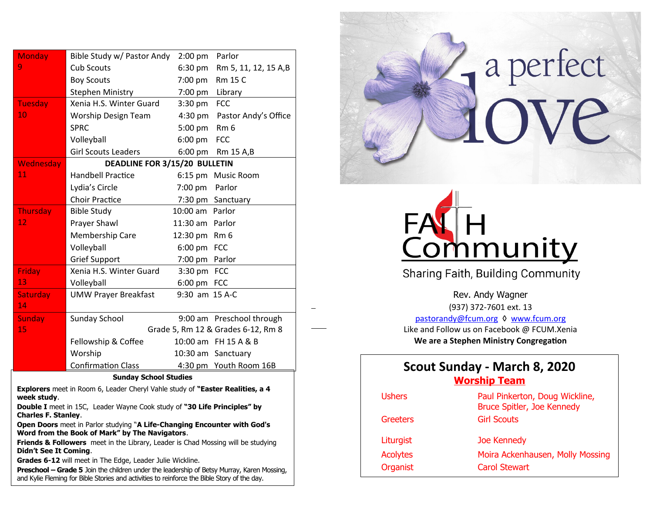| <b>Monday</b>                | Bible Study w/ Pastor Andy  | $2:00$ pm                          | Parlor                    |  |
|------------------------------|-----------------------------|------------------------------------|---------------------------|--|
| 9                            | Cub Scouts                  | 6:30 pm                            | Rm 5, 11, 12, 15 A,B      |  |
|                              | <b>Boy Scouts</b>           | 7:00 pm                            | Rm 15 C                   |  |
|                              | <b>Stephen Ministry</b>     | 7:00 pm                            | Library                   |  |
| <b>Tuesday</b>               | Xenia H.S. Winter Guard     | $3:30$ pm                          | <b>FCC</b>                |  |
| $\overline{10}$              | Worship Design Team         | $4:30 \text{ pm}$                  | Pastor Andy's Office      |  |
|                              | <b>SPRC</b>                 | 5:00 pm                            | Rm <sub>6</sub>           |  |
|                              | Volleyball                  | $6:00$ pm                          | <b>FCC</b>                |  |
|                              | <b>Girl Scouts Leaders</b>  | 6:00 pm                            | Rm 15 A,B                 |  |
| Wednesday                    |                             | DEADLINE FOR 3/15/20 BULLETIN      |                           |  |
| 11                           | <b>Handbell Practice</b>    |                                    | 6:15 pm Music Room        |  |
|                              | Lydia's Circle              | 7:00 pm                            | Parlor                    |  |
|                              | <b>Choir Practice</b>       |                                    | 7:30 pm Sanctuary         |  |
| <b>Thursday</b>              | <b>Bible Study</b>          | 10:00 am Parlor                    |                           |  |
| 12                           | Prayer Shawl                | 11:30 am Parlor                    |                           |  |
|                              | Membership Care             | 12:30 pm Rm 6                      |                           |  |
|                              | Volleyball                  | 6:00 pm FCC                        |                           |  |
|                              | <b>Grief Support</b>        | 7:00 pm                            | Parlor                    |  |
| <b>Friday</b>                | Xenia H.S. Winter Guard     | 3:30 pm                            | <b>FCC</b>                |  |
| 13                           | Volleyball                  | 6:00 pm FCC                        |                           |  |
| Saturday                     | <b>UMW Prayer Breakfast</b> | 9:30 am 15 A-C                     |                           |  |
| 14                           |                             |                                    |                           |  |
| <b>Sunday</b>                | <b>Sunday School</b>        |                                    | 9:00 am Preschool through |  |
| 15                           |                             | Grade 5, Rm 12 & Grades 6-12, Rm 8 |                           |  |
|                              | Fellowship & Coffee         |                                    | 10:00 am FH 15 A & B      |  |
|                              | Worship                     |                                    | 10:30 am Sanctuary        |  |
|                              | <b>Confirmation Class</b>   |                                    | 4:30 pm Youth Room 16B    |  |
| <b>Sunday School Studies</b> |                             |                                    |                           |  |

1

**Explorers** meet in Room 6, Leader Cheryl Vahle study of **"Easter Realities, a 4 week study**.

**Double I** meet in 15C, Leader Wayne Cook study of **"30 Life Principles" by Charles F. Stanley**.

**Open Doors** meet in Parlor studying "**A Life-Changing Encounter with God's Word from the Book of Mark" by The Navigators**.

**Friends & Followers** meet in the Library, Leader is Chad Mossing will be studying **Didn't See It Coming**.

**Grades 6-12** will meet in The Edge, Leader Julie Wickline.

**Preschool – Grade 5** Join the children under the leadership of Betsy Murray, Karen Mossing, and Kylie Fleming for Bible Stories and activities to reinforce the Bible Story of the day.





Sharing Faith, Building Community

Rev. Andy Wagner (937) 372-7601 ext. 13 [pastorandy@fcum.org](mailto:pastorandy@fcum.org) ♦ [www.fcum.org](http://www.fcum.org/) Like and Follow us on Facebook @ FCUM.Xenia **We are a Stephen Ministry Congregation**

# **Scout Sunday - March 8, 2020 Worship Team**

| Paul Pinkerton, Doug Wickline,<br>Bruce Spitler, Joe Kennedy |
|--------------------------------------------------------------|
| <b>Girl Scouts</b>                                           |
| Joe Kennedy                                                  |
| Moira Ackenhausen, Molly Mossing                             |
| <b>Carol Stewart</b>                                         |
|                                                              |